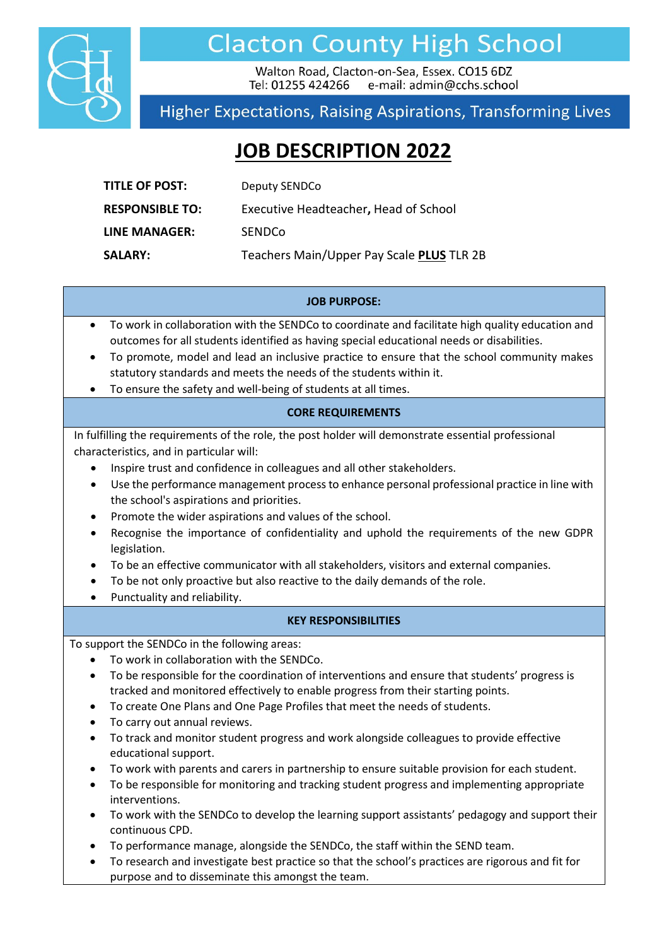

## **Clacton County High School**

Walton Road, Clacton-on-Sea, Essex, CO15 6DZ Tel: 01255 424266 e-mail: admin@cchs.school

### Higher Expectations, Raising Aspirations, Transforming Lives

## **JOB DESCRIPTION 2022**

| <b>TITLE OF POST:</b>  | Deputy SENDCo                             |
|------------------------|-------------------------------------------|
| <b>RESPONSIBLE TO:</b> | Executive Headteacher, Head of School     |
| <b>LINE MANAGER:</b>   | SENDCo                                    |
| <b>SALARY:</b>         | Teachers Main/Upper Pay Scale PLUS TLR 2B |

#### **JOB PURPOSE:**

- To work in collaboration with the SENDCo to coordinate and facilitate high quality education and outcomes for all students identified as having special educational needs or disabilities.
- To promote, model and lead an inclusive practice to ensure that the school community makes statutory standards and meets the needs of the students within it.
- To ensure the safety and well-being of students at all times.

#### **CORE REQUIREMENTS**

In fulfilling the requirements of the role, the post holder will demonstrate essential professional characteristics, and in particular will:

- Inspire trust and confidence in colleagues and all other stakeholders.
- Use the performance management process to enhance personal professional practice in line with the school's aspirations and priorities.
- Promote the wider aspirations and values of the school.
- Recognise the importance of confidentiality and uphold the requirements of the new GDPR legislation.
- To be an effective communicator with all stakeholders, visitors and external companies.
- To be not only proactive but also reactive to the daily demands of the role.
- Punctuality and reliability.

#### **KEY RESPONSIBILITIES**

To support the SENDCo in the following areas:

- To work in collaboration with the SENDCo.
- To be responsible for the coordination of interventions and ensure that students' progress is tracked and monitored effectively to enable progress from their starting points.
- To create One Plans and One Page Profiles that meet the needs of students.
- To carry out annual reviews.
- To track and monitor student progress and work alongside colleagues to provide effective educational support.
- To work with parents and carers in partnership to ensure suitable provision for each student.
- To be responsible for monitoring and tracking student progress and implementing appropriate interventions.
- To work with the SENDCo to develop the learning support assistants' pedagogy and support their continuous CPD.
- To performance manage, alongside the SENDCo, the staff within the SEND team.
- To research and investigate best practice so that the school's practices are rigorous and fit for purpose and to disseminate this amongst the team.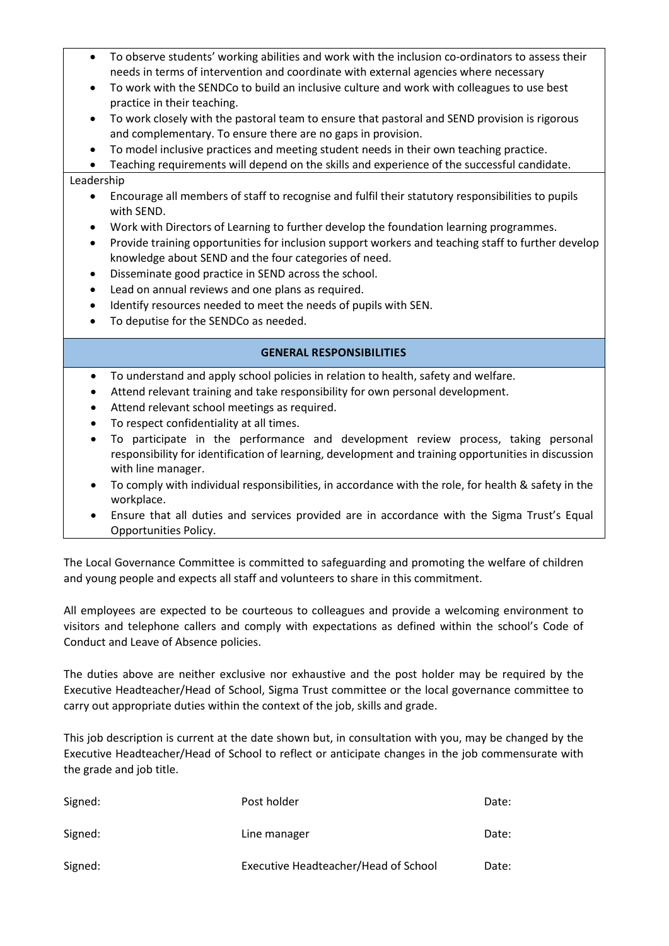- To observe students' working abilities and work with the inclusion co-ordinators to assess their needs in terms of intervention and coordinate with external agencies where necessary
- To work with the SENDCo to build an inclusive culture and work with colleagues to use best practice in their teaching.
- To work closely with the pastoral team to ensure that pastoral and SEND provision is rigorous and complementary. To ensure there are no gaps in provision.
- To model inclusive practices and meeting student needs in their own teaching practice.

• Teaching requirements will depend on the skills and experience of the successful candidate.

#### Leadership

- Encourage all members of staff to recognise and fulfil their statutory responsibilities to pupils with SEND.
- Work with Directors of Learning to further develop the foundation learning programmes.
- Provide training opportunities for inclusion support workers and teaching staff to further develop knowledge about SEND and the four categories of need.
- Disseminate good practice in SEND across the school.
- Lead on annual reviews and one plans as required.
- Identify resources needed to meet the needs of pupils with SEN.
- To deputise for the SENDCo as needed.

#### **GENERAL RESPONSIBILITIES**

- To understand and apply school policies in relation to health, safety and welfare.
- Attend relevant training and take responsibility for own personal development.
- Attend relevant school meetings as required.
- To respect confidentiality at all times.
- To participate in the performance and development review process, taking personal responsibility for identification of learning, development and training opportunities in discussion with line manager.
- To comply with individual responsibilities, in accordance with the role, for health & safety in the workplace.
- Ensure that all duties and services provided are in accordance with the Sigma Trust's Equal Opportunities Policy.

The Local Governance Committee is committed to safeguarding and promoting the welfare of children and young people and expects all staff and volunteers to share in this commitment.

All employees are expected to be courteous to colleagues and provide a welcoming environment to visitors and telephone callers and comply with expectations as defined within the school's Code of Conduct and Leave of Absence policies.

The duties above are neither exclusive nor exhaustive and the post holder may be required by the Executive Headteacher/Head of School, Sigma Trust committee or the local governance committee to carry out appropriate duties within the context of the job, skills and grade.

This job description is current at the date shown but, in consultation with you, may be changed by the Executive Headteacher/Head of School to reflect or anticipate changes in the job commensurate with the grade and job title.

| Signed: | Post holder                          | Date: |
|---------|--------------------------------------|-------|
| Signed: | Line manager                         | Date: |
| Signed: | Executive Headteacher/Head of School | Date: |